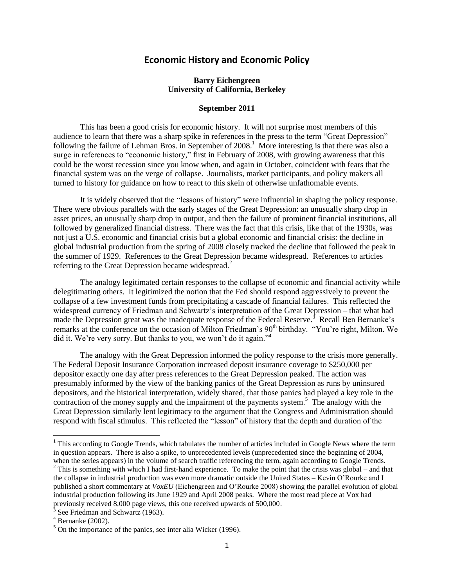## **Economic History and Economic Policy**

## **Barry Eichengreen University of California, Berkeley**

## **September 2011**

This has been a good crisis for economic history. It will not surprise most members of this audience to learn that there was a sharp spike in references in the press to the term "Great Depression" following the failure of Lehman Bros. in September of  $2008$ <sup>1</sup>. More interesting is that there was also a surge in references to "economic history," first in February of 2008, with growing awareness that this could be the worst recession since you know when, and again in October, coincident with fears that the financial system was on the verge of collapse. Journalists, market participants, and policy makers all turned to history for guidance on how to react to this skein of otherwise unfathomable events.

It is widely observed that the "lessons of history" were influential in shaping the policy response. There were obvious parallels with the early stages of the Great Depression: an unusually sharp drop in asset prices, an unusually sharp drop in output, and then the failure of prominent financial institutions, all followed by generalized financial distress. There was the fact that this crisis, like that of the 1930s, was not just a U.S. economic and financial crisis but a global economic and financial crisis: the decline in global industrial production from the spring of 2008 closely tracked the decline that followed the peak in the summer of 1929. References to the Great Depression became widespread. References to articles referring to the Great Depression became widespread.<sup>2</sup>

The analogy legitimated certain responses to the collapse of economic and financial activity while delegitimating others. It legitimized the notion that the Fed should respond aggressively to prevent the collapse of a few investment funds from precipitating a cascade of financial failures. This reflected the widespread currency of Friedman and Schwartz's interpretation of the Great Depression – that what had made the Depression great was the inadequate response of the Federal Reserve.<sup>3</sup> Recall Ben Bernanke's remarks at the conference on the occasion of Milton Friedman's 90<sup>th</sup> birthday. "You're right, Milton. We did it. We're very sorry. But thanks to you, we won't do it again."<sup>4</sup>

The analogy with the Great Depression informed the policy response to the crisis more generally. The Federal Deposit Insurance Corporation increased deposit insurance coverage to \$250,000 per depositor exactly one day after press references to the Great Depression peaked. The action was presumably informed by the view of the banking panics of the Great Depression as runs by uninsured depositors, and the historical interpretation, widely shared, that those panics had played a key role in the contraction of the money supply and the impairment of the payments system.<sup>5</sup> The analogy with the Great Depression similarly lent legitimacy to the argument that the Congress and Administration should respond with fiscal stimulus. This reflected the "lesson" of history that the depth and duration of the

l

 $<sup>1</sup>$  This according to Google Trends, which tabulates the number of articles included in Google News where the term</sup> in question appears. There is also a spike, to unprecedented levels (unprecedented since the beginning of 2004, when the series appears) in the volume of search traffic referencing the term, again according to Google Trends.  $2$  This is something with which I had first-hand experience. To make the point that the crisis was global – and that the collapse in industrial production was even more dramatic outside the United States – Kevin O'Rourke and I published a short commentary at *VoxEU* (Eichengreen and O'Rourke 2008) showing the parallel evolution of global industrial production following its June 1929 and April 2008 peaks. Where the most read piece at Vox had previously received 8,000 page views, this one received upwards of 500,000.

 $3$  See Friedman and Schwartz (1963).

 $4$  Bernanke (2002).

 $<sup>5</sup>$  On the importance of the panics, see inter alia Wicker (1996).</sup>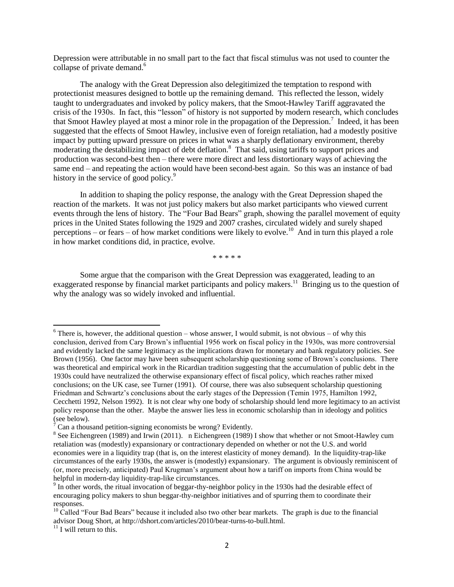Depression were attributable in no small part to the fact that fiscal stimulus was not used to counter the collapse of private demand. 6

The analogy with the Great Depression also delegitimized the temptation to respond with protectionist measures designed to bottle up the remaining demand. This reflected the lesson, widely taught to undergraduates and invoked by policy makers, that the Smoot-Hawley Tariff aggravated the crisis of the 1930s. In fact, this "lesson" of history is not supported by modern research, which concludes that Smoot Hawley played at most a minor role in the propagation of the Depression.<sup>7</sup> Indeed, it has been suggested that the effects of Smoot Hawley, inclusive even of foreign retaliation, had a modestly positive impact by putting upward pressure on prices in what was a sharply deflationary environment, thereby moderating the destabilizing impact of debt deflation.<sup>8</sup> That said, using tariffs to support prices and production was second-best then – there were more direct and less distortionary ways of achieving the same end – and repeating the action would have been second-best again. So this was an instance of bad history in the service of good policy.<sup>9</sup>

In addition to shaping the policy response, the analogy with the Great Depression shaped the reaction of the markets. It was not just policy makers but also market participants who viewed current events through the lens of history. The "Four Bad Bears" graph, showing the parallel movement of equity prices in the United States following the 1929 and 2007 crashes, circulated widely and surely shaped perceptions – or fears – of how market conditions were likely to evolve.<sup>10</sup> And in turn this played a role in how market conditions did, in practice, evolve.

\* \* \* \* \*

Some argue that the comparison with the Great Depression was exaggerated, leading to an exaggerated response by financial market participants and policy makers.<sup>11</sup> Bringing us to the question of why the analogy was so widely invoked and influential.

 $6$  There is, however, the additional question – whose answer, I would submit, is not obvious – of why this conclusion, derived from Cary Brown's influential 1956 work on fiscal policy in the 1930s, was more controversial and evidently lacked the same legitimacy as the implications drawn for monetary and bank regulatory policies. See Brown (1956). One factor may have been subsequent scholarship questioning some of Brown's conclusions. There was theoretical and empirical work in the Ricardian tradition suggesting that the accumulation of public debt in the 1930s could have neutralized the otherwise expansionary effect of fiscal policy, which reaches rather mixed conclusions; on the UK case, see Turner (1991). Of course, there was also subsequent scholarship questioning Friedman and Schwartz's conclusions about the early stages of the Depression (Temin 1975, Hamilton 1992, Cecchetti 1992, Nelson 1992). It is not clear why one body of scholarship should lend more legitimacy to an activist policy response than the other. Maybe the answer lies less in economic scholarship than in ideology and politics (see below).

 $\frac{7}{7}$  Can a thousand petition-signing economists be wrong? Evidently.

 $8$  See Eichengreen (1989) and Irwin (2011). n Eichengreen (1989) I show that whether or not Smoot-Hawley cum retaliation was (modestly) expansionary or contractionary depended on whether or not the U.S. and world economies were in a liquidity trap (that is, on the interest elasticity of money demand). In the liquidity-trap-like circumstances of the early 1930s, the answer is (modestly) expansionary. The argument is obviously reminiscent of (or, more precisely, anticipated) Paul Krugman's argument about how a tariff on imports from China would be helpful in modern-day liquidity-trap-like circumstances.

 $9 \text{ In other words, the ritual invocation of beggar-thy-neighbor policy in the 1930s had the desirable effect of }$ encouraging policy makers to shun beggar-thy-neighbor initiatives and of spurring them to coordinate their responses.

 $10$  Called "Four Bad Bears" because it included also two other bear markets. The graph is due to the financial advisor Doug Short, at http://dshort.com/articles/2010/bear-turns-to-bull.html.

 $11$  I will return to this.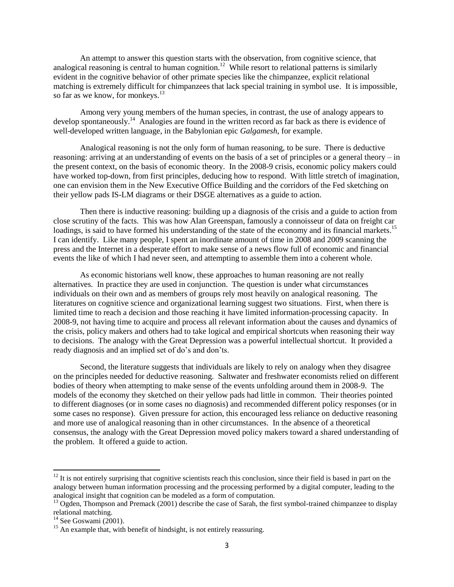An attempt to answer this question starts with the observation, from cognitive science, that analogical reasoning is central to human cognition.<sup>12</sup> While resort to relational patterns is similarly evident in the cognitive behavior of other primate species like the chimpanzee, explicit relational matching is extremely difficult for chimpanzees that lack special training in symbol use. It is impossible, so far as we know, for monkeys. 13

Among very young members of the human species, in contrast, the use of analogy appears to develop spontaneously.<sup>14</sup> Analogies are found in the written record as far back as there is evidence of well-developed written language, in the Babylonian epic *Galgamesh*, for example.

Analogical reasoning is not the only form of human reasoning, to be sure. There is deductive reasoning: arriving at an understanding of events on the basis of a set of principles or a general theory – in the present context, on the basis of economic theory. In the 2008-9 crisis, economic policy makers could have worked top-down, from first principles, deducing how to respond. With little stretch of imagination, one can envision them in the New Executive Office Building and the corridors of the Fed sketching on their yellow pads IS-LM diagrams or their DSGE alternatives as a guide to action.

Then there is inductive reasoning: building up a diagnosis of the crisis and a guide to action from close scrutiny of the facts. This was how Alan Greenspan, famously a connoisseur of data on freight car loadings, is said to have formed his understanding of the state of the economy and its financial markets.<sup>15</sup> I can identify. Like many people, I spent an inordinate amount of time in 2008 and 2009 scanning the press and the Internet in a desperate effort to make sense of a news flow full of economic and financial events the like of which I had never seen, and attempting to assemble them into a coherent whole.

As economic historians well know, these approaches to human reasoning are not really alternatives. In practice they are used in conjunction. The question is under what circumstances individuals on their own and as members of groups rely most heavily on analogical reasoning. The literatures on cognitive science and organizational learning suggest two situations. First, when there is limited time to reach a decision and those reaching it have limited information-processing capacity. In 2008-9, not having time to acquire and process all relevant information about the causes and dynamics of the crisis, policy makers and others had to take logical and empirical shortcuts when reasoning their way to decisions. The analogy with the Great Depression was a powerful intellectual shortcut. It provided a ready diagnosis and an implied set of do's and don'ts.

Second, the literature suggests that individuals are likely to rely on analogy when they disagree on the principles needed for deductive reasoning. Saltwater and freshwater economists relied on different bodies of theory when attempting to make sense of the events unfolding around them in 2008-9. The models of the economy they sketched on their yellow pads had little in common. Their theories pointed to different diagnoses (or in some cases no diagnosis) and recommended different policy responses (or in some cases no response). Given pressure for action, this encouraged less reliance on deductive reasoning and more use of analogical reasoning than in other circumstances. In the absence of a theoretical consensus, the analogy with the Great Depression moved policy makers toward a shared understanding of the problem. It offered a guide to action.

 $12$  It is not entirely surprising that cognitive scientists reach this conclusion, since their field is based in part on the analogy between human information processing and the processing performed by a digital computer, leading to the analogical insight that cognition can be modeled as a form of computation.

 $<sup>13</sup>$  Ogden, Thompson and Premack (2001) describe the case of Sarah, the first symbol-trained chimpanzee to display</sup> relational matching.

 $14$  See Goswami (2001).

 $15$  An example that, with benefit of hindsight, is not entirely reassuring.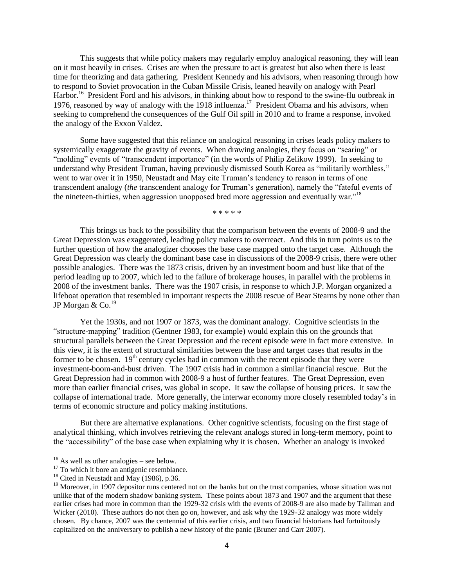This suggests that while policy makers may regularly employ analogical reasoning, they will lean on it most heavily in crises. Crises are when the pressure to act is greatest but also when there is least time for theorizing and data gathering. President Kennedy and his advisors, when reasoning through how to respond to Soviet provocation in the Cuban Missile Crisis, leaned heavily on analogy with Pearl Harbor.<sup>16</sup> President Ford and his advisors, in thinking about how to respond to the swine-flu outbreak in 1976, reasoned by way of analogy with the 1918 influenza.<sup>17</sup> President Obama and his advisors, when seeking to comprehend the consequences of the Gulf Oil spill in 2010 and to frame a response, invoked the analogy of the Exxon Valdez.

Some have suggested that this reliance on analogical reasoning in crises leads policy makers to systemically exaggerate the gravity of events. When drawing analogies, they focus on "searing" or "molding" events of "transcendent importance" (in the words of Philip Zelikow 1999). In seeking to understand why President Truman, having previously dismissed South Korea as "militarily worthless," went to war over it in 1950, Neustadt and May cite Truman's tendency to reason in terms of one transcendent analogy *(the* transcendent analogy for Truman's generation), namely the "fateful events of the nineteen-thirties, when aggression unopposed bred more aggression and eventually war."<sup>18</sup>

\* \* \* \* \*

This brings us back to the possibility that the comparison between the events of 2008-9 and the Great Depression was exaggerated, leading policy makers to overreact. And this in turn points us to the further question of how the analogizer chooses the base case mapped onto the target case. Although the Great Depression was clearly the dominant base case in discussions of the 2008-9 crisis, there were other possible analogies. There was the 1873 crisis, driven by an investment boom and bust like that of the period leading up to 2007, which led to the failure of brokerage houses, in parallel with the problems in 2008 of the investment banks. There was the 1907 crisis, in response to which J.P. Morgan organized a lifeboat operation that resembled in important respects the 2008 rescue of Bear Stearns by none other than JP Morgan  $& Co.<sup>19</sup>$ 

Yet the 1930s, and not 1907 or 1873, was the dominant analogy. Cognitive scientists in the ―structure-mapping‖ tradition (Gentner 1983, for example) would explain this on the grounds that structural parallels between the Great Depression and the recent episode were in fact more extensive. In this view, it is the extent of structural similarities between the base and target cases that results in the former to be chosen.  $19<sup>th</sup>$  century cycles had in common with the recent episode that they were investment-boom-and-bust driven. The 1907 crisis had in common a similar financial rescue. But the Great Depression had in common with 2008-9 a host of further features. The Great Depression, even more than earlier financial crises, was global in scope. It saw the collapse of housing prices. It saw the collapse of international trade. More generally, the interwar economy more closely resembled today's in terms of economic structure and policy making institutions.

But there are alternative explanations. Other cognitive scientists, focusing on the first stage of analytical thinking, which involves retrieving the relevant analogs stored in long-term memory, point to the "accessibility" of the base case when explaining why it is chosen. Whether an analogy is invoked

 $16$  As well as other analogies – see below.

<sup>&</sup>lt;sup>17</sup> To which it bore an antigenic resemblance.

 $18$  Cited in Neustadt and May (1986), p.36.

 $19$  Moreover, in 1907 depositor runs centered not on the banks but on the trust companies, whose situation was not unlike that of the modern shadow banking system. These points about 1873 and 1907 and the argument that these earlier crises had more in common than the 1929-32 crisis with the events of 2008-9 are also made by Tallman and Wicker (2010). These authors do not then go on, however, and ask why the 1929-32 analogy was more widely chosen. By chance, 2007 was the centennial of this earlier crisis, and two financial historians had fortuitously capitalized on the anniversary to publish a new history of the panic (Bruner and Carr 2007).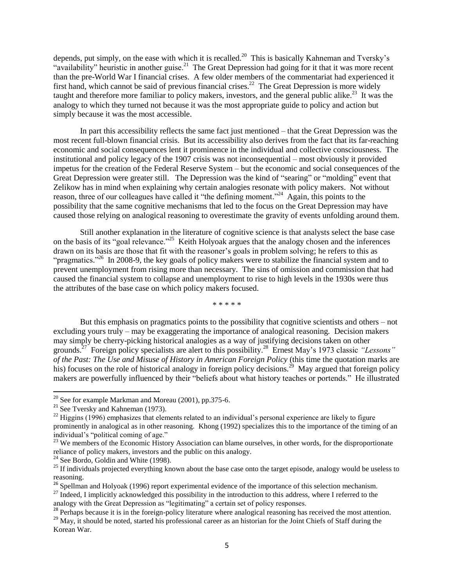depends, put simply, on the ease with which it is recalled.<sup>20</sup> This is basically Kahneman and Tversky's "availability" heuristic in another guise.<sup>21</sup> The Great Depression had going for it that it was more recent than the pre-World War I financial crises. A few older members of the commentariat had experienced it first hand, which cannot be said of previous financial crises.<sup>22</sup> The Great Depression is more widely taught and therefore more familiar to policy makers, investors, and the general public alike.<sup>23</sup> It was the analogy to which they turned not because it was the most appropriate guide to policy and action but simply because it was the most accessible.

In part this accessibility reflects the same fact just mentioned – that the Great Depression was the most recent full-blown financial crisis. But its accessibility also derives from the fact that its far-reaching economic and social consequences lent it prominence in the individual and collective consciousness. The institutional and policy legacy of the 1907 crisis was not inconsequential – most obviously it provided impetus for the creation of the Federal Reserve System – but the economic and social consequences of the Great Depression were greater still. The Depression was the kind of "searing" or "molding" event that Zelikow has in mind when explaining why certain analogies resonate with policy makers. Not without reason, three of our colleagues have called it "the defining moment."<sup>24</sup> Again, this points to the possibility that the same cognitive mechanisms that led to the focus on the Great Depression may have caused those relying on analogical reasoning to overestimate the gravity of events unfolding around them.

Still another explanation in the literature of cognitive science is that analysts select the base case on the basis of its "goal relevance."<sup>25</sup> Keith Holyoak argues that the analogy chosen and the inferences drawn on its basis are those that fit with the reasoner's goals in problem solving; he refers to this as "pragmatics."<sup>26</sup> In 2008-9, the key goals of policy makers were to stabilize the financial system and to prevent unemployment from rising more than necessary. The sins of omission and commission that had caused the financial system to collapse and unemployment to rise to high levels in the 1930s were thus the attributes of the base case on which policy makers focused.

\* \* \* \* \*

But this emphasis on pragmatics points to the possibility that cognitive scientists and others – not excluding yours truly – may be exaggerating the importance of analogical reasoning. Decision makers may simply be cherry-picking historical analogies as a way of justifying decisions taken on other grounds.<sup>27</sup> Foreign policy specialists are alert to this possibility. 28 Ernest May's 1973 classic *"Lessons" of the Past: The Use and Misuse of History in American Foreign Policy* (this time the quotation marks are his) focuses on the role of historical analogy in foreign policy decisions.<sup>29</sup> May argued that foreign policy makers are powerfully influenced by their "beliefs about what history teaches or portends." He illustrated

 $\overline{a}$ 

 $20$  See for example Markman and Moreau (2001), pp.375-6.

 $21$  See Tversky and Kahneman (1973).

 $^{22}$  Higgins (1996) emphasizes that elements related to an individual's personal experience are likely to figure prominently in analogical as in other reasoning. Khong (1992) specializes this to the importance of the timing of an individual's "political coming of age."

<sup>&</sup>lt;sup>23</sup> We members of the Economic History Association can blame ourselves, in other words, for the disproportionate reliance of policy makers, investors and the public on this analogy.

 $24$  See Bordo, Goldin and White (1998).

<sup>&</sup>lt;sup>25</sup> If individuals projected everything known about the base case onto the target episode, analogy would be useless to reasoning.

 $^{26}$  Spellman and Holyoak (1996) report experimental evidence of the importance of this selection mechanism.

 $^{27}$  Indeed, I implicitly acknowledged this possibility in the introduction to this address, where I referred to the analogy with the Great Depression as "legitimating" a certain set of policy responses.

 $^{28}$  Perhaps because it is in the foreign-policy literature where analogical reasoning has received the most attention.

<sup>&</sup>lt;sup>29</sup> May, it should be noted, started his professional career as an historian for the Joint Chiefs of Staff during the Korean War.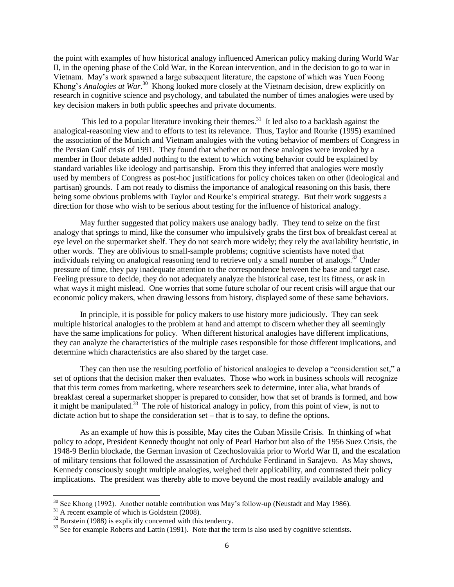the point with examples of how historical analogy influenced American policy making during World War II, in the opening phase of the Cold War, in the Korean intervention, and in the decision to go to war in Vietnam. May's work spawned a large subsequent literature, the capstone of which was Yuen Foong Khong's *Analogies at War*.<sup>30</sup> Khong looked more closely at the Vietnam decision, drew explicitly on research in cognitive science and psychology, and tabulated the number of times analogies were used by key decision makers in both public speeches and private documents.

This led to a popular literature invoking their themes.<sup>31</sup> It led also to a backlash against the analogical-reasoning view and to efforts to test its relevance. Thus, Taylor and Rourke (1995) examined the association of the Munich and Vietnam analogies with the voting behavior of members of Congress in the Persian Gulf crisis of 1991. They found that whether or not these analogies were invoked by a member in floor debate added nothing to the extent to which voting behavior could be explained by standard variables like ideology and partisanship. From this they inferred that analogies were mostly used by members of Congress as post-hoc justifications for policy choices taken on other (ideological and partisan) grounds. I am not ready to dismiss the importance of analogical reasoning on this basis, there being some obvious problems with Taylor and Rourke's empirical strategy. But their work suggests a direction for those who wish to be serious about testing for the influence of historical analogy.

May further suggested that policy makers use analogy badly. They tend to seize on the first analogy that springs to mind, like the consumer who impulsively grabs the first box of breakfast cereal at eye level on the supermarket shelf. They do not search more widely; they rely the availability heuristic, in other words. They are oblivious to small-sample problems; cognitive scientists have noted that individuals relying on analogical reasoning tend to retrieve only a small number of analogs.<sup>32</sup> Under pressure of time, they pay inadequate attention to the correspondence between the base and target case. Feeling pressure to decide, they do not adequately analyze the historical case, test its fitness, or ask in what ways it might mislead. One worries that some future scholar of our recent crisis will argue that our economic policy makers, when drawing lessons from history, displayed some of these same behaviors.

In principle, it is possible for policy makers to use history more judiciously. They can seek multiple historical analogies to the problem at hand and attempt to discern whether they all seemingly have the same implications for policy. When different historical analogies have different implications, they can analyze the characteristics of the multiple cases responsible for those different implications, and determine which characteristics are also shared by the target case.

They can then use the resulting portfolio of historical analogies to develop a "consideration set," a set of options that the decision maker then evaluates. Those who work in business schools will recognize that this term comes from marketing, where researchers seek to determine, inter alia, what brands of breakfast cereal a supermarket shopper is prepared to consider, how that set of brands is formed, and how it might be manipulated.<sup>33</sup> The role of historical analogy in policy, from this point of view, is not to dictate action but to shape the consideration set – that is to say, to define the options.

As an example of how this is possible, May cites the Cuban Missile Crisis. In thinking of what policy to adopt, President Kennedy thought not only of Pearl Harbor but also of the 1956 Suez Crisis, the 1948-9 Berlin blockade, the German invasion of Czechoslovakia prior to World War II, and the escalation of military tensions that followed the assassination of Archduke Ferdinand in Sarajevo. As May shows, Kennedy consciously sought multiple analogies, weighed their applicability, and contrasted their policy implications. The president was thereby able to move beyond the most readily available analogy and

 $30$  See Khong (1992). Another notable contribution was May's follow-up (Neustadt and May 1986).

 $31$  A recent example of which is Goldstein (2008).

 $32$  Burstein (1988) is explicitly concerned with this tendency.

<sup>&</sup>lt;sup>33</sup> See for example Roberts and Lattin (1991). Note that the term is also used by cognitive scientists.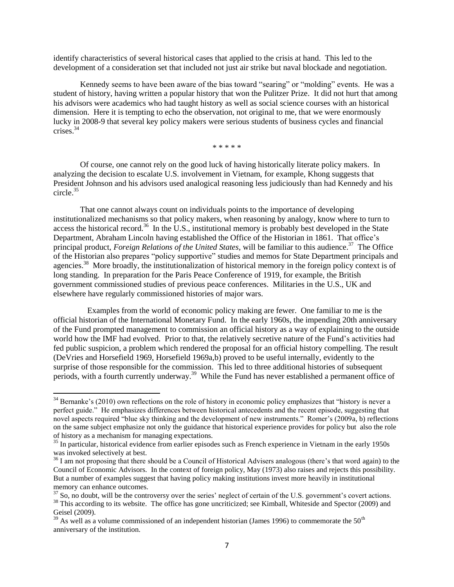identify characteristics of several historical cases that applied to the crisis at hand. This led to the development of a consideration set that included not just air strike but naval blockade and negotiation.

Kennedy seems to have been aware of the bias toward "searing" or "molding" events. He was a student of history, having written a popular history that won the Pulitzer Prize. It did not hurt that among his advisors were academics who had taught history as well as social science courses with an historical dimension. Here it is tempting to echo the observation, not original to me, that we were enormously lucky in 2008-9 that several key policy makers were serious students of business cycles and financial crises. 34

\* \* \* \* \*

Of course, one cannot rely on the good luck of having historically literate policy makers. In analyzing the decision to escalate U.S. involvement in Vietnam, for example, Khong suggests that President Johnson and his advisors used analogical reasoning less judiciously than had Kennedy and his circle. 35

That one cannot always count on individuals points to the importance of developing institutionalized mechanisms so that policy makers, when reasoning by analogy, know where to turn to access the historical record.<sup>36</sup> In the U.S., institutional memory is probably best developed in the State Department, Abraham Lincoln having established the Office of the Historian in 1861. That office's principal product, *Foreign Relations of the United States*, will be familiar to this audience.<sup>37</sup> The Office of the Historian also prepares "policy supportive" studies and memos for State Department principals and agencies.<sup>38</sup> More broadly, the institutionalization of historical memory in the foreign policy context is of long standing. In preparation for the Paris Peace Conference of 1919, for example, the British government commissioned studies of previous peace conferences. Militaries in the U.S., UK and elsewhere have regularly commissioned histories of major wars.

Examples from the world of economic policy making are fewer. One familiar to me is the official historian of the International Monetary Fund. In the early 1960s, the impending 20th anniversary of the Fund prompted management to commission an official history as a way of explaining to the outside world how the IMF had evolved. Prior to that, the relatively secretive nature of the Fund's activities had fed public suspicion, a problem which rendered the proposal for an official history compelling. The result (DeVries and Horsefield 1969, Horsefield 1969a,b) proved to be useful internally, evidently to the surprise of those responsible for the commission. This led to three additional histories of subsequent periods, with a fourth currently underway.<sup>39</sup> While the Fund has never established a permanent office of

 $34$  Bernanke's (2010) own reflections on the role of history in economic policy emphasizes that "history is never a perfect guide.‖ He emphasizes differences between historical antecedents and the recent episode, suggesting that novel aspects required "blue sky thinking and the development of new instruments." Romer's (2009a, b) reflections on the same subject emphasize not only the guidance that historical experience provides for policy but also the role of history as a mechanism for managing expectations.

<sup>&</sup>lt;sup>35</sup> In particular, historical evidence from earlier episodes such as French experience in Vietnam in the early 1950s was invoked selectively at best.

<sup>&</sup>lt;sup>36</sup> I am not proposing that there should be a Council of Historical Advisers analogous (there's that word again) to the Council of Economic Advisors. In the context of foreign policy, May (1973) also raises and rejects this possibility. But a number of examples suggest that having policy making institutions invest more heavily in institutional memory can enhance outcomes.

 $37$  So, no doubt, will be the controversy over the series' neglect of certain of the U.S. government's covert actions.  $38$  This according to its website. The office has gone uncriticized; see Kimball, Whiteside and Spector (2009) and Geisel (2009).

 $39$  As well as a volume commissioned of an independent historian (James 1996) to commemorate the 50<sup>th</sup> anniversary of the institution.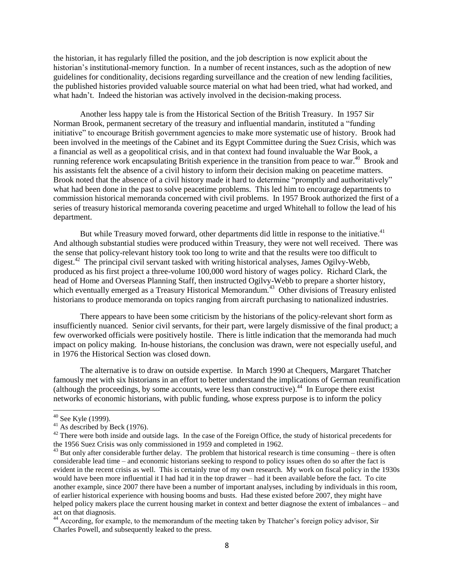the historian, it has regularly filled the position, and the job description is now explicit about the historian's institutional-memory function. In a number of recent instances, such as the adoption of new guidelines for conditionality, decisions regarding surveillance and the creation of new lending facilities, the published histories provided valuable source material on what had been tried, what had worked, and what hadn't. Indeed the historian was actively involved in the decision-making process.

Another less happy tale is from the Historical Section of the British Treasury. In 1957 Sir Norman Brook, permanent secretary of the treasury and influential mandarin, instituted a "funding" initiative" to encourage British government agencies to make more systematic use of history. Brook had been involved in the meetings of the Cabinet and its Egypt Committee during the Suez Crisis, which was a financial as well as a geopolitical crisis, and in that context had found invaluable the War Book, a running reference work encapsulating British experience in the transition from peace to war. <sup>40</sup> Brook and his assistants felt the absence of a civil history to inform their decision making on peacetime matters. Brook noted that the absence of a civil history made it hard to determine "promptly and authoritatively" what had been done in the past to solve peacetime problems. This led him to encourage departments to commission historical memoranda concerned with civil problems. In 1957 Brook authorized the first of a series of treasury historical memoranda covering peacetime and urged Whitehall to follow the lead of his department.

But while Treasury moved forward, other departments did little in response to the initiative.<sup>41</sup> And although substantial studies were produced within Treasury, they were not well received. There was the sense that policy-relevant history took too long to write and that the results were too difficult to digest.<sup>42</sup> The principal civil servant tasked with writing historical analyses, James Ogilvy-Webb, produced as his first project a three-volume 100,000 word history of wages policy. Richard Clark, the head of Home and Overseas Planning Staff, then instructed Ogilvy-Webb to prepare a shorter history, which eventually emerged as a Treasury Historical Memorandum.<sup>43</sup> Other divisions of Treasury enlisted historians to produce memoranda on topics ranging from aircraft purchasing to nationalized industries.

There appears to have been some criticism by the historians of the policy-relevant short form as insufficiently nuanced. Senior civil servants, for their part, were largely dismissive of the final product; a few overworked officials were positively hostile. There is little indication that the memoranda had much impact on policy making. In-house historians, the conclusion was drawn, were not especially useful, and in 1976 the Historical Section was closed down.

The alternative is to draw on outside expertise. In March 1990 at Chequers, Margaret Thatcher famously met with six historians in an effort to better understand the implications of German reunification (although the proceedings, by some accounts, were less than constructive). $44$  In Europe there exist networks of economic historians, with public funding, whose express purpose is to inform the policy

l

 $40$  See Kyle (1999).

 $^{41}$  As described by Beck (1976).

<sup>&</sup>lt;sup>42</sup> There were both inside and outside lags. In the case of the Foreign Office, the study of historical precedents for the 1956 Suez Crisis was only commissioned in 1959 and completed in 1962.

 $43$  But only after considerable further delay. The problem that historical research is time consuming – there is often considerable lead time – and economic historians seeking to respond to policy issues often do so after the fact is evident in the recent crisis as well. This is certainly true of my own research. My work on fiscal policy in the 1930s would have been more influential it I had had it in the top drawer – had it been available before the fact. To cite another example, since 2007 there have been a number of important analyses, including by individuals in this room, of earlier historical experience with housing booms and busts. Had these existed before 2007, they might have helped policy makers place the current housing market in context and better diagnose the extent of imbalances – and act on that diagnosis.

<sup>44</sup> According, for example, to the memorandum of the meeting taken by Thatcher's foreign policy advisor, Sir Charles Powell, and subsequently leaked to the press.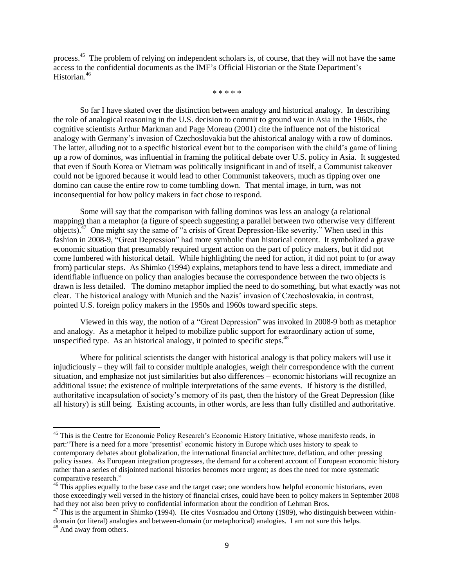process.<sup>45</sup> The problem of relying on independent scholars is, of course, that they will not have the same access to the confidential documents as the IMF's Official Historian or the State Department's Historian. 46

\* \* \* \* \*

So far I have skated over the distinction between analogy and historical analogy. In describing the role of analogical reasoning in the U.S. decision to commit to ground war in Asia in the 1960s, the cognitive scientists Arthur Markman and Page Moreau (2001) cite the influence not of the historical analogy with Germany's invasion of Czechoslovakia but the ahistorical analogy with a row of dominos. The latter, alluding not to a specific historical event but to the comparison with the child's game of lining up a row of dominos, was influential in framing the political debate over U.S. policy in Asia. It suggested that even if South Korea or Vietnam was politically insignificant in and of itself, a Communist takeover could not be ignored because it would lead to other Communist takeovers, much as tipping over one domino can cause the entire row to come tumbling down. That mental image, in turn, was not inconsequential for how policy makers in fact chose to respond.

Some will say that the comparison with falling dominos was less an analogy (a relational mapping) than a metaphor (a figure of speech suggesting a parallel between two otherwise very different objects).<sup>47</sup> One might say the same of "a crisis of Great Depression-like severity." When used in this fashion in 2008-9, "Great Depression" had more symbolic than historical content. It symbolized a grave economic situation that presumably required urgent action on the part of policy makers, but it did not come lumbered with historical detail. While highlighting the need for action, it did not point to (or away from) particular steps. As Shimko (1994) explains, metaphors tend to have less a direct, immediate and identifiable influence on policy than analogies because the correspondence between the two objects is drawn is less detailed. The domino metaphor implied the need to do something, but what exactly was not clear. The historical analogy with Munich and the Nazis' invasion of Czechoslovakia, in contrast, pointed U.S. foreign policy makers in the 1950s and 1960s toward specific steps.

Viewed in this way, the notion of a "Great Depression" was invoked in 2008-9 both as metaphor and analogy. As a metaphor it helped to mobilize public support for extraordinary action of some, unspecified type. As an historical analogy, it pointed to specific steps.<sup>48</sup>

Where for political scientists the danger with historical analogy is that policy makers will use it injudiciously – they will fail to consider multiple analogies, weigh their correspondence with the current situation, and emphasize not just similarities but also differences – economic historians will recognize an additional issue: the existence of multiple interpretations of the same events. If history is the distilled, authoritative incapsulation of society's memory of its past, then the history of the Great Depression (like all history) is still being. Existing accounts, in other words, are less than fully distilled and authoritative.

<sup>&</sup>lt;sup>45</sup> This is the Centre for Economic Policy Research's Economic History Initiative, whose manifesto reads, in part: "There is a need for a more 'presentist' economic history in Europe which uses history to speak to contemporary debates about globalization, the international financial architecture, deflation, and other pressing policy issues. As European integration progresses, the demand for a coherent account of European economic history rather than a series of disjointed national histories becomes more urgent; as does the need for more systematic comparative research."

 $^{46}$  This applies equally to the base case and the target case; one wonders how helpful economic historians, even those exceedingly well versed in the history of financial crises, could have been to policy makers in September 2008 had they not also been privy to confidential information about the condition of Lehman Bros.

 $47$  This is the argument in Shimko (1994). He cites Vosniadou and Ortony (1989), who distinguish between withindomain (or literal) analogies and between-domain (or metaphorical) analogies. I am not sure this helps. <sup>48</sup> And away from others.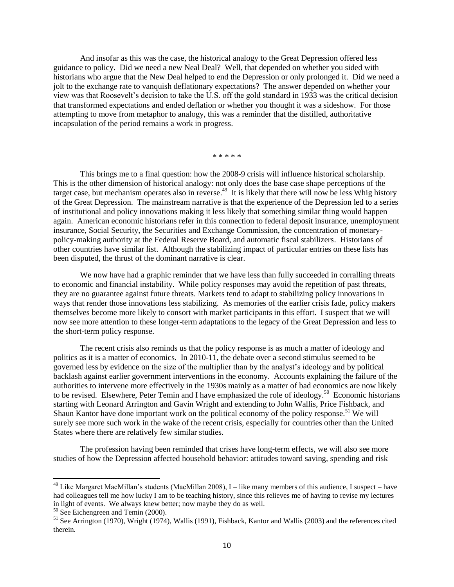And insofar as this was the case, the historical analogy to the Great Depression offered less guidance to policy. Did we need a new Neal Deal? Well, that depended on whether you sided with historians who argue that the New Deal helped to end the Depression or only prolonged it. Did we need a jolt to the exchange rate to vanquish deflationary expectations? The answer depended on whether your view was that Roosevelt's decision to take the U.S. off the gold standard in 1933 was the critical decision that transformed expectations and ended deflation or whether you thought it was a sideshow. For those attempting to move from metaphor to analogy, this was a reminder that the distilled, authoritative incapsulation of the period remains a work in progress.

\* \* \* \* \*

This brings me to a final question: how the 2008-9 crisis will influence historical scholarship. This is the other dimension of historical analogy: not only does the base case shape perceptions of the target case, but mechanism operates also in reverse.<sup>49</sup> It is likely that there will now be less Whig history of the Great Depression. The mainstream narrative is that the experience of the Depression led to a series of institutional and policy innovations making it less likely that something similar thing would happen again. American economic historians refer in this connection to federal deposit insurance, unemployment insurance, Social Security, the Securities and Exchange Commission, the concentration of monetarypolicy-making authority at the Federal Reserve Board, and automatic fiscal stabilizers. Historians of other countries have similar list. Although the stabilizing impact of particular entries on these lists has been disputed, the thrust of the dominant narrative is clear.

We now have had a graphic reminder that we have less than fully succeeded in corralling threats to economic and financial instability. While policy responses may avoid the repetition of past threats, they are no guarantee against future threats. Markets tend to adapt to stabilizing policy innovations in ways that render those innovations less stabilizing. As memories of the earlier crisis fade, policy makers themselves become more likely to consort with market participants in this effort. I suspect that we will now see more attention to these longer-term adaptations to the legacy of the Great Depression and less to the short-term policy response.

The recent crisis also reminds us that the policy response is as much a matter of ideology and politics as it is a matter of economics. In 2010-11, the debate over a second stimulus seemed to be governed less by evidence on the size of the multiplier than by the analyst's ideology and by political backlash against earlier government interventions in the economy. Accounts explaining the failure of the authorities to intervene more effectively in the 1930s mainly as a matter of bad economics are now likely to be revised. Elsewhere, Peter Temin and I have emphasized the role of ideology.<sup>50</sup> Economic historians starting with Leonard Arrington and Gavin Wright and extending to John Wallis, Price Fishback, and Shaun Kantor have done important work on the political economy of the policy response.<sup>51</sup> We will surely see more such work in the wake of the recent crisis, especially for countries other than the United States where there are relatively few similar studies.

The profession having been reminded that crises have long-term effects, we will also see more studies of how the Depression affected household behavior: attitudes toward saving, spending and risk

<sup>&</sup>lt;sup>49</sup> Like Margaret MacMillan's students (MacMillan 2008), I – like many members of this audience, I suspect – have had colleagues tell me how lucky I am to be teaching history, since this relieves me of having to revise my lectures in light of events. We always knew better; now maybe they do as well.

<sup>&</sup>lt;sup>50</sup> See Eichengreen and Temin (2000).

 $51$  See Arrington (1970), Wright (1974), Wallis (1991), Fishback, Kantor and Wallis (2003) and the references cited therein.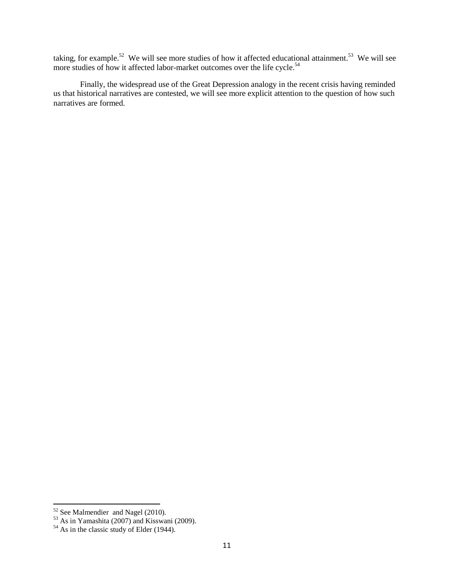taking, for example.<sup>52</sup> We will see more studies of how it affected educational attainment.<sup>53</sup> We will see more studies of how it affected labor-market outcomes over the life cycle.<sup>54</sup>

Finally, the widespread use of the Great Depression analogy in the recent crisis having reminded us that historical narratives are contested, we will see more explicit attention to the question of how such narratives are formed.

 $52$  See Malmendier and Nagel (2010).

<sup>53</sup> As in Yamashita (2007) and Kisswani (2009).

 $54$  As in the classic study of Elder (1944).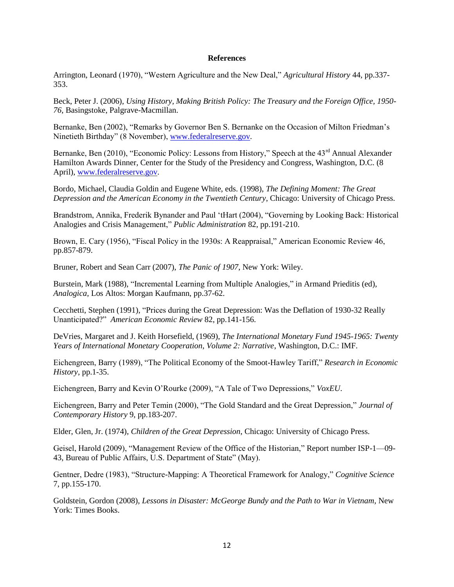## **References**

Arrington, Leonard (1970), "Western Agriculture and the New Deal," Agricultural History 44, pp.337-353.

Beck, Peter J. (2006), *Using History, Making British Policy: The Treasury and the Foreign Office, 1950- 76*, Basingstoke, Palgrave-Macmillan.

Bernanke, Ben (2002), "Remarks by Governor Ben S. Bernanke on the Occasion of Milton Friedman's Ninetieth Birthday" (8 November), [www.federalreserve.gov.](http://www.federalreserve.gov/)

Bernanke, Ben (2010), "Economic Policy: Lessons from History," Speech at the 43<sup>rd</sup> Annual Alexander Hamilton Awards Dinner, Center for the Study of the Presidency and Congress, Washington, D.C. (8 April), [www.federalreserve.gov.](http://www.federalreserve.gov/)

Bordo, Michael, Claudia Goldin and Eugene White, eds. (1998), *The Defining Moment: The Great Depression and the American Economy in the Twentieth Century*, Chicago: University of Chicago Press.

Brandstrom, Annika, Frederik Bynander and Paul 'tHart (2004), "Governing by Looking Back: Historical Analogies and Crisis Management," *Public Administration* 82, pp.191-210.

Brown, E. Cary (1956), "Fiscal Policy in the 1930s: A Reappraisal," American Economic Review 46, pp.857-879.

Bruner, Robert and Sean Carr (2007), *The Panic of 1907*, New York: Wiley.

Burstein, Mark (1988), "Incremental Learning from Multiple Analogies," in Armand Prieditis (ed), *Analogica*, Los Altos: Morgan Kaufmann, pp.37-62.

Cecchetti, Stephen (1991), "Prices during the Great Depression: Was the Deflation of 1930-32 Really Unanticipated?‖ *American Economic Review* 82, pp.141-156.

DeVries, Margaret and J. Keith Horsefield, (1969), *The International Monetary Fund 1945-1965: Twenty Years of International Monetary Cooperation, Volume 2: Narrative*, Washington, D.C.: IMF.

Eichengreen, Barry (1989), "The Political Economy of the Smoot-Hawley Tariff," Research in Economic *History*, pp.1-35.

Eichengreen, Barry and Kevin O'Rourke (2009), "A Tale of Two Depressions," *VoxEU*.

Eichengreen, Barry and Peter Temin (2000), "The Gold Standard and the Great Depression," *Journal of Contemporary History* 9, pp.183-207.

Elder, Glen, Jr. (1974), *Children of the Great Depression*, Chicago: University of Chicago Press.

Geisel, Harold (2009), "Management Review of the Office of the Historian," Report number ISP-1—09-43, Bureau of Public Affairs, U.S. Department of State" (May).

Gentner, Dedre (1983), "Structure-Mapping: A Theoretical Framework for Analogy," *Cognitive Science* 7, pp.155-170.

Goldstein, Gordon (2008), *Lessons in Disaster: McGeorge Bundy and the Path to War in Vietnam*, New York: Times Books.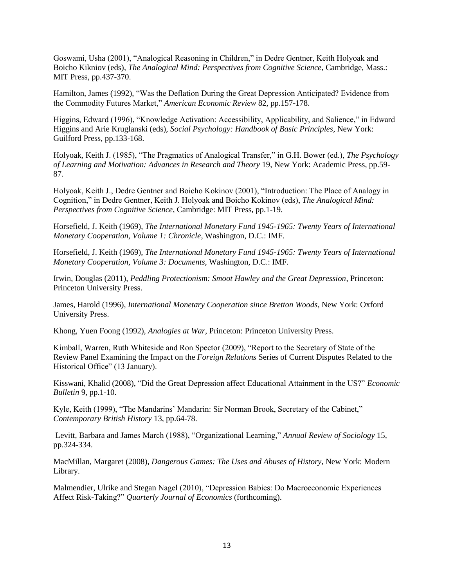Goswami, Usha (2001), "Analogical Reasoning in Children," in Dedre Gentner, Keith Holyoak and Boicho Kikniov (eds), *The Analogical Mind: Perspectives from Cognitive Science*, Cambridge, Mass.: MIT Press, pp.437-370.

Hamilton, James (1992), "Was the Deflation During the Great Depression Anticipated? Evidence from the Commodity Futures Market," *American Economic Review* 82, pp.157-178.

Higgins, Edward (1996), "Knowledge Activation: Accessibility, Applicability, and Salience," in Edward Higgins and Arie Kruglanski (eds), *Social Psychology: Handbook of Basic Principles*, New York: Guilford Press, pp.133-168.

Holyoak, Keith J. (1985), "The Pragmatics of Analogical Transfer," in G.H. Bower (ed.), *The Psychology of Learning and Motivation: Advances in Research and Theory* 19, New York: Academic Press, pp.59- 87.

Holyoak, Keith J., Dedre Gentner and Boicho Kokinov (2001), "Introduction: The Place of Analogy in Cognition," in Dedre Gentner, Keith J. Holyoak and Boicho Kokinov (eds), *The Analogical Mind: Perspectives from Cognitive Science*, Cambridge: MIT Press, pp.1-19.

Horsefield, J. Keith (1969), *The International Monetary Fund 1945-1965: Twenty Years of International Monetary Cooperation, Volume 1: Chronicle*, Washington, D.C.: IMF.

Horsefield, J. Keith (1969), *The International Monetary Fund 1945-1965: Twenty Years of International Monetary Cooperation, Volume 3: Documents*, Washington, D.C.: IMF.

Irwin, Douglas (2011), *Peddling Protectionism: Smoot Hawley and the Great Depression*, Princeton: Princeton University Press.

James, Harold (1996), *International Monetary Cooperation since Bretton Woods*, New York: Oxford University Press.

Khong, Yuen Foong (1992), *Analogies at War*, Princeton: Princeton University Press.

Kimball, Warren, Ruth Whiteside and Ron Spector (2009), "Report to the Secretary of State of the Review Panel Examining the Impact on the *Foreign Relations* Series of Current Disputes Related to the Historical Office" (13 January).

Kisswani, Khalid (2008), "Did the Great Depression affect Educational Attainment in the US?" *Economic Bulletin* 9, pp.1-10.

Kyle, Keith (1999), "The Mandarins' Mandarin: Sir Norman Brook, Secretary of the Cabinet," *Contemporary British History* 13, pp.64-78.

Levitt, Barbara and James March (1988), "Organizational Learning," *Annual Review of Sociology* 15, pp.324-334.

MacMillan, Margaret (2008), *Dangerous Games: The Uses and Abuses of History*, New York: Modern Library.

Malmendier, Ulrike and Stegan Nagel (2010), "Depression Babies: Do Macroeconomic Experiences Affect Risk-Taking?" Quarterly Journal of Economics (forthcoming).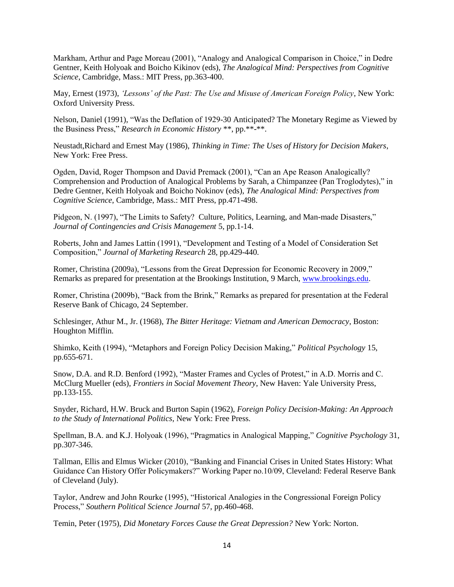Markham, Arthur and Page Moreau (2001), "Analogy and Analogical Comparison in Choice," in Dedre Gentner, Keith Holyoak and Boicho Kikinov (eds), *The Analogical Mind: Perspectives from Cognitive Science*, Cambridge, Mass.: MIT Press, pp.363-400.

May, Ernest (1973), *"Lessons" of the Past: The Use and Misuse of American Foreign Policy*, New York: Oxford University Press.

Nelson, Daniel (1991), "Was the Deflation of 1929-30 Anticipated? The Monetary Regime as Viewed by the Business Press," *Research in Economic History* \*\*, pp.\*\*-\*\*.

Neustadt,Richard and Ernest May (1986), *Thinking in Time: The Uses of History for Decision Makers*, New York: Free Press.

Ogden, David, Roger Thompson and David Premack (2001), "Can an Ape Reason Analogically? Comprehension and Production of Analogical Problems by Sarah, a Chimpanzee (Pan Troglodytes)," in Dedre Gentner, Keith Holyoak and Boicho Nokinov (eds), *The Analogical Mind: Perspectives from Cognitive Science*, Cambridge, Mass.: MIT Press, pp.471-498.

Pidgeon, N. (1997), "The Limits to Safety? Culture, Politics, Learning, and Man-made Disasters," *Journal of Contingencies and Crisis Management* 5, pp.1-14.

Roberts, John and James Lattin (1991), "Development and Testing of a Model of Consideration Set Composition,‖ *Journal of Marketing Research* 28, pp.429-440.

Romer, Christina (2009a), "Lessons from the Great Depression for Economic Recovery in 2009," Remarks as prepared for presentation at the Brookings Institution, 9 March, [www.brookings.edu.](http://www.brookings.edu/)

Romer, Christina (2009b), "Back from the Brink," Remarks as prepared for presentation at the Federal Reserve Bank of Chicago, 24 September.

Schlesinger, Athur M., Jr. (1968), *The Bitter Heritage: Vietnam and American Democracy*, Boston: Houghton Mifflin.

Shimko, Keith (1994), "Metaphors and Foreign Policy Decision Making," *Political Psychology* 15, pp.655-671.

Snow, D.A. and R.D. Benford (1992), "Master Frames and Cycles of Protest," in A.D. Morris and C. McClurg Mueller (eds), *Frontiers in Social Movement Theory*, New Haven: Yale University Press, pp.133-155.

Snyder, Richard, H.W. Bruck and Burton Sapin (1962), *Foreign Policy Decision-Making: An Approach to the Study of International Politics*, New York: Free Press.

Spellman, B.A. and K.J. Holyoak (1996), "Pragmatics in Analogical Mapping," *Cognitive Psychology* 31, pp.307-346.

Tallman, Ellis and Elmus Wicker (2010), "Banking and Financial Crises in United States History: What Guidance Can History Offer Policymakers?" Working Paper no.10/09, Cleveland: Federal Reserve Bank of Cleveland (July).

Taylor, Andrew and John Rourke (1995), "Historical Analogies in the Congressional Foreign Policy Process,‖ *Southern Political Science Journal* 57, pp.460-468.

Temin, Peter (1975), *Did Monetary Forces Cause the Great Depression?* New York: Norton.